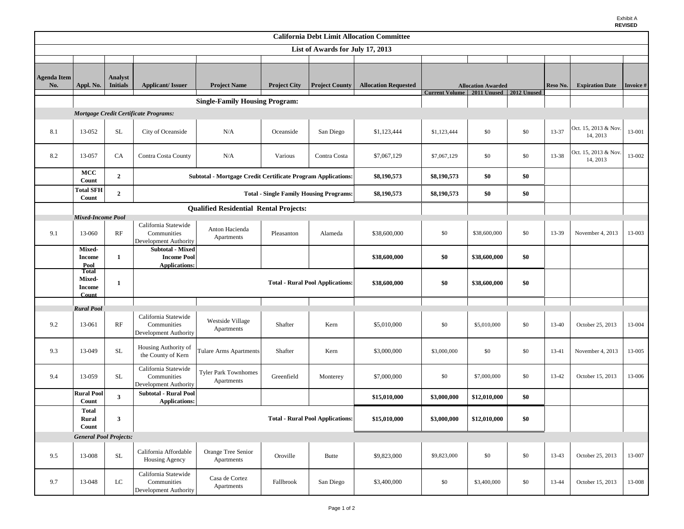| <b>California Debt Limit Allocation Committee</b> |                                        |                 |                                                                       |                                       |                     |                       |                             |                                            |                           |     |           |                                  |           |
|---------------------------------------------------|----------------------------------------|-----------------|-----------------------------------------------------------------------|---------------------------------------|---------------------|-----------------------|-----------------------------|--------------------------------------------|---------------------------|-----|-----------|----------------------------------|-----------|
| List of Awards for July 17, 2013                  |                                        |                 |                                                                       |                                       |                     |                       |                             |                                            |                           |     |           |                                  |           |
|                                                   |                                        |                 |                                                                       |                                       |                     |                       |                             |                                            |                           |     |           |                                  |           |
| <b>Agenda Item</b>                                |                                        | Analyst         |                                                                       |                                       |                     |                       |                             |                                            |                           |     |           |                                  |           |
| No.                                               | Appl. No.                              | <b>Initials</b> | <b>Applicant/Issuer</b>                                               | <b>Project Name</b>                   | <b>Project City</b> | <b>Project County</b> | <b>Allocation Requested</b> |                                            | <b>Allocation Awarded</b> |     | Reso No.  | <b>Expiration Date</b>           | Invoice # |
|                                                   |                                        |                 |                                                                       | <b>Single-Family Housing Program:</b> |                     |                       |                             | Current Volume   2011 Unused   2012 Unused |                           |     |           |                                  |           |
|                                                   |                                        |                 |                                                                       |                                       |                     |                       |                             |                                            |                           |     |           |                                  |           |
| Mortgage Credit Certificate Programs:             |                                        |                 |                                                                       |                                       |                     |                       |                             |                                            |                           |     |           |                                  |           |
| 8.1                                               | 13-052                                 | $\rm SL$        | City of Oceanside                                                     | N/A                                   | Oceanside           | San Diego             | \$1,123,444                 | \$1,123,444                                | \$0                       | \$0 | 13-37     | Oct. 15, 2013 & Nov.<br>14, 2013 | 13-001    |
| 8.2                                               | 13-057                                 | <b>CA</b>       | Contra Costa County                                                   | N/A                                   | Various             | Contra Costa          | \$7,067,129                 | \$7,067,129                                | \$0                       | \$0 | 13-38     | Oct. 15, 2013 & Nov.<br>14, 2013 | 13-002    |
|                                                   | MCC<br>Count                           | $\overline{2}$  | <b>Subtotal - Mortgage Credit Certificate Program Applications:</b>   | \$8,190,573                           | \$8,190,573         | \$0                   | \$0                         |                                            |                           |     |           |                                  |           |
|                                                   | <b>Total SFH</b><br>Count              | $\overline{2}$  |                                                                       | \$8,190,573                           | \$8,190,573         | \$0                   | \$0                         |                                            |                           |     |           |                                  |           |
| <b>Qualified Residential Rental Projects:</b>     |                                        |                 |                                                                       |                                       |                     |                       |                             |                                            |                           |     |           |                                  |           |
|                                                   | Mixed-Income Pool                      |                 | California Statewide                                                  |                                       |                     |                       |                             |                                            |                           |     |           |                                  |           |
| 9.1                                               | 13-060                                 | RF              | Communities<br>Development Authority                                  | Anton Hacienda<br>Apartments          | Pleasanton          | Alameda               | \$38,600,000                | \$0                                        | \$38,600,000              | \$0 | 13-39     | November 4, 2013                 | 13-003    |
|                                                   | <b>Mixed-</b><br><b>Income</b><br>Pool | $\mathbf{1}$    | <b>Subtotal - Mixed</b><br><b>Income Pool</b><br><b>Applications:</b> |                                       |                     |                       | \$38,600,000                | \$0                                        | \$38,600,000              | \$0 |           |                                  |           |
|                                                   | <b>Total</b><br><b>Mixed-</b>          | 1               | <b>Total - Rural Pool Applications:</b>                               |                                       |                     |                       | \$38,600,000                | \$0                                        | \$38,600,000              | \$0 |           |                                  |           |
|                                                   | <b>Income</b><br>Count                 |                 |                                                                       |                                       |                     |                       |                             |                                            |                           |     |           |                                  |           |
|                                                   | <b>Rural Pool</b>                      |                 |                                                                       |                                       |                     |                       |                             |                                            |                           |     |           |                                  |           |
| 9.2                                               | 13-061                                 | RF              | California Statewide<br>Communities<br>Development Authority          | Westside Village<br>Apartments        | Shafter             | Kern                  | \$5,010,000                 | \$0                                        | \$5,010,000               | \$0 | 13-40     | October 25, 2013                 | 13-004    |
| 9.3                                               | 13-049                                 | <b>SL</b>       | Housing Authority of<br>the County of Kern                            | Tulare Arms Apartments                | Shafter             | Kern                  | \$3,000,000                 | \$3,000,000                                | \$0                       | \$0 | $13 - 41$ | November 4, 2013                 | 13-005    |
| 9.4                                               | 13-059                                 | <b>SL</b>       | California Statewide<br>Communities<br>Development Authority          | Tyler Park Townhomes<br>Apartments    | Greenfield          | Monterey              | \$7,000,000                 | \$0                                        | \$7,000,000               | \$0 | 13-42     | October 15, 2013                 | 13-006    |
|                                                   | <b>Rural Pool</b><br>Count             | $\mathbf{3}$    | <b>Subtotal - Rural Pool</b><br><b>Applications:</b>                  |                                       |                     |                       | \$15,010,000                | \$3,000,000                                | \$12,010,000              | \$0 |           |                                  |           |
|                                                   | <b>Total</b><br>Rural<br>Count         | 3               | <b>Total - Rural Pool Applications:</b>                               |                                       |                     |                       | \$15,010,000                | \$3,000,000                                | \$12,010,000              | \$0 |           |                                  |           |
| <b>General Pool Projects:</b>                     |                                        |                 |                                                                       |                                       |                     |                       |                             |                                            |                           |     |           |                                  |           |
| 9.5                                               | 13-008                                 | <b>SL</b>       | California Affordable<br>Housing Agency                               | Orange Tree Senior<br>Apartments      | Oroville            | <b>Butte</b>          | \$9,823,000                 | \$9,823,000                                | \$0                       | \$0 | 13-43     | October 25, 2013                 | 13-007    |
| 9.7                                               | 13-048                                 | ${\rm LC}$      | California Statewide<br>Communities<br>Development Authority          | Casa de Cortez<br>Apartments          | Fallbrook           | San Diego             | \$3,400,000                 | \$0                                        | \$3,400,000               | \$0 | 13-44     | October 15, 2013                 | 13-008    |